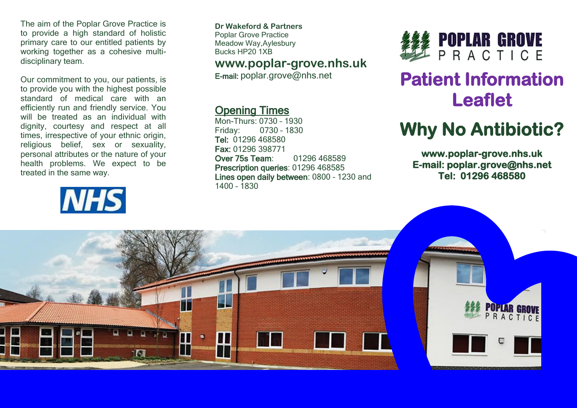The aim of the Poplar Grove Practice is to provide a high standard of holistic primary care to our entitled patients by working together as a cohesive multidisciplinary team.

Our commitment to you, our patients, is to provide you with the highest possible standard of medical care with an efficiently run and friendly service. You will be treated as an individual with dignity, courtesy and respect at all times, irrespective of your ethnic origin, religious belief, sex or sexuality, personal attributes or the nature of your health problems. We expect to be treated in the same way.

# **NHS**

**Dr Wakeford & Partners** Poplar Grove Practice Meadow Way,Aylesbury Bucks HP20 1XB

### **www.poplar-grove.nhs.uk**

E-mail: [poplar.grove@nhs.net](mailto:poplar.grove@nhs.net)

### Opening Times

Mon-Thurs: 0730 – 1930 Friday: 0730 – 1830 Tel: 01296 468580 Fax: 01296 398771 Over 75s Team: 01296 468589 Prescription queries: 01296 468585 Lines open daily between: 0800 – 1230 and 1400 – 1830



# **Patient Information Leaflet**

# **Why No Antibiotic?**

**www.poplar-grove.nhs.uk E-mail: poplar.grove@nhs.net Tel: 01296 468580**